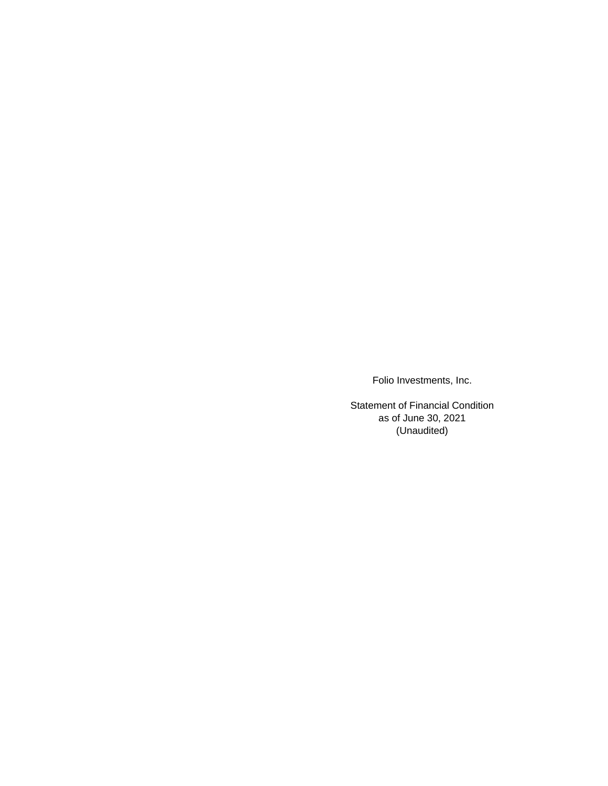Folio Investments, Inc.

Statement of Financial Condition as of June 30, 2021 (Unaudited)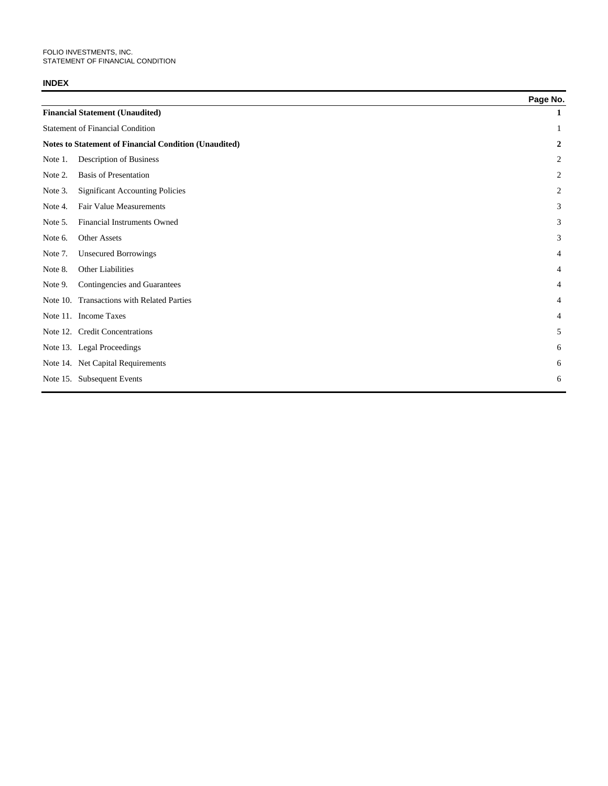### **INDEX**

|                                                              |                                          | Page No.         |
|--------------------------------------------------------------|------------------------------------------|------------------|
|                                                              | <b>Financial Statement (Unaudited)</b>   | 1                |
|                                                              | <b>Statement of Financial Condition</b>  | 1                |
| <b>Notes to Statement of Financial Condition (Unaudited)</b> |                                          | $\boldsymbol{2}$ |
| Note 1.                                                      | Description of Business                  | 2                |
| Note 2.                                                      | <b>Basis of Presentation</b>             | 2                |
| Note 3.                                                      | <b>Significant Accounting Policies</b>   | $\overline{2}$   |
| Note 4.                                                      | <b>Fair Value Measurements</b>           | 3                |
| Note 5.                                                      | Financial Instruments Owned              | 3                |
| Note 6.                                                      | <b>Other Assets</b>                      | 3                |
| Note 7.                                                      | <b>Unsecured Borrowings</b>              | $\overline{4}$   |
| Note 8.                                                      | Other Liabilities                        | $\overline{4}$   |
| Note 9.                                                      | Contingencies and Guarantees             | $\overline{4}$   |
| Note $10$ .                                                  | <b>Transactions with Related Parties</b> | $\overline{4}$   |
|                                                              | Note 11. Income Taxes                    | $\overline{4}$   |
|                                                              | Note 12. Credit Concentrations           | 5                |
|                                                              | Note 13. Legal Proceedings               | 6                |
|                                                              | Note 14. Net Capital Requirements        | 6                |
|                                                              | Note 15. Subsequent Events               | 6                |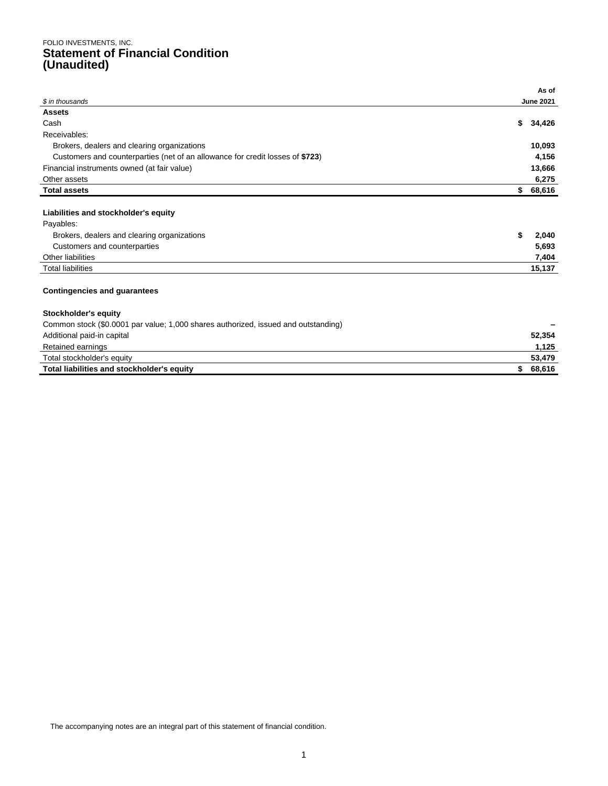|                                                                                    |    | As of            |
|------------------------------------------------------------------------------------|----|------------------|
| \$ in thousands                                                                    |    | <b>June 2021</b> |
| <b>Assets</b>                                                                      |    |                  |
| Cash                                                                               | \$ | 34,426           |
| Receivables:                                                                       |    |                  |
| Brokers, dealers and clearing organizations                                        |    | 10,093           |
| Customers and counterparties (net of an allowance for credit losses of \$723)      |    | 4,156            |
| Financial instruments owned (at fair value)                                        |    | 13,666           |
| Other assets                                                                       |    | 6,275            |
| <b>Total assets</b>                                                                | \$ | 68,616           |
| Liabilities and stockholder's equity                                               |    |                  |
| Payables:                                                                          |    |                  |
| Brokers, dealers and clearing organizations                                        | \$ | 2,040            |
| Customers and counterparties                                                       |    | 5,693            |
| Other liabilities                                                                  |    | 7,404            |
| <b>Total liabilities</b>                                                           |    | 15,137           |
| <b>Contingencies and guarantees</b>                                                |    |                  |
| Stockholder's equity                                                               |    |                  |
| Common stock (\$0.0001 par value; 1,000 shares authorized, issued and outstanding) |    |                  |
| Additional paid-in capital                                                         |    | 52,354           |
| Retained earnings                                                                  |    | 1,125            |
| Total stockholder's equity                                                         |    | 53,479           |
| Total liabilities and stockholder's equity                                         |    | 68,616           |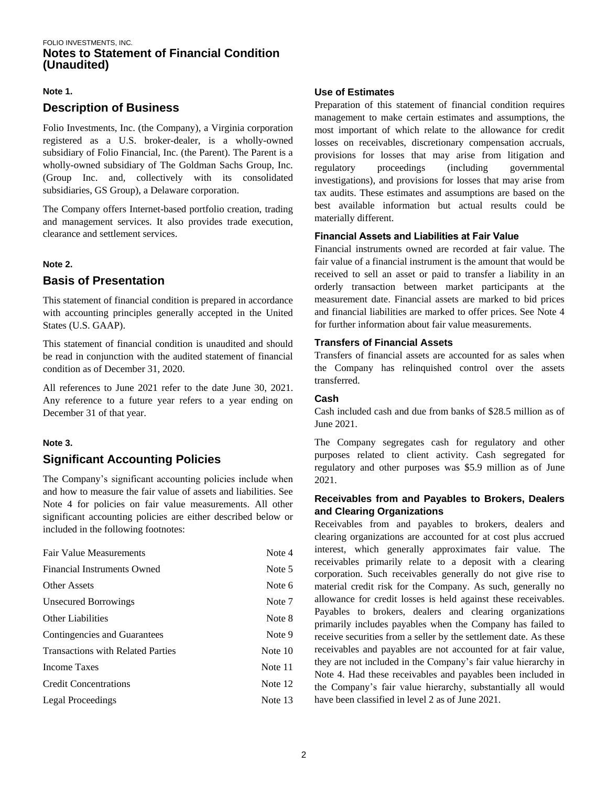### **Note 1.**

# **Description of Business**

Folio Investments, Inc. (the Company), a Virginia corporation registered as a U.S. broker-dealer, is a wholly-owned subsidiary of Folio Financial, Inc. (the Parent). The Parent is a wholly-owned subsidiary of The Goldman Sachs Group, Inc. (Group Inc. and, collectively with its consolidated subsidiaries, GS Group), a Delaware corporation.

The Company offers Internet-based portfolio creation, trading and management services. It also provides trade execution, clearance and settlement services.

### **Note 2.**

# **Basis of Presentation**

This statement of financial condition is prepared in accordance with accounting principles generally accepted in the United States (U.S. GAAP).

This statement of financial condition is unaudited and should be read in conjunction with the audited statement of financial condition as of December 31, 2020.

All references to June 2021 refer to the date June 30, 2021. Any reference to a future year refers to a year ending on December 31 of that year.

### **Note 3.**

# **Significant Accounting Policies**

The Company's significant accounting policies include when and how to measure the fair value of assets and liabilities. See Note 4 for policies on fair value measurements. All other significant accounting policies are either described below or included in the following footnotes:

| <b>Fair Value Measurements</b>           | Note 4  |
|------------------------------------------|---------|
| Financial Instruments Owned              | Note 5  |
| <b>Other Assets</b>                      | Note 6  |
| Unsecured Borrowings                     | Note 7  |
| <b>Other Liabilities</b>                 | Note 8  |
| Contingencies and Guarantees             | Note 9  |
| <b>Transactions with Related Parties</b> | Note 10 |
| Income Taxes                             | Note 11 |
| <b>Credit Concentrations</b>             | Note 12 |
| Legal Proceedings                        | Note 13 |
|                                          |         |

### **Use of Estimates**

Preparation of this statement of financial condition requires management to make certain estimates and assumptions, the most important of which relate to the allowance for credit losses on receivables, discretionary compensation accruals, provisions for losses that may arise from litigation and regulatory proceedings (including governmental investigations), and provisions for losses that may arise from tax audits. These estimates and assumptions are based on the best available information but actual results could be materially different.

### **Financial Assets and Liabilities at Fair Value**

Financial instruments owned are recorded at fair value. The fair value of a financial instrument is the amount that would be received to sell an asset or paid to transfer a liability in an orderly transaction between market participants at the measurement date. Financial assets are marked to bid prices and financial liabilities are marked to offer prices. See Note 4 for further information about fair value measurements.

### **Transfers of Financial Assets**

Transfers of financial assets are accounted for as sales when the Company has relinquished control over the assets transferred.

### **Cash**

Cash included cash and due from banks of \$28.5 million as of June 2021.

The Company segregates cash for regulatory and other purposes related to client activity. Cash segregated for regulatory and other purposes was \$5.9 million as of June 2021.

### **Receivables from and Payables to Brokers, Dealers and Clearing Organizations**

Receivables from and payables to brokers, dealers and clearing organizations are accounted for at cost plus accrued interest, which generally approximates fair value. The receivables primarily relate to a deposit with a clearing corporation. Such receivables generally do not give rise to material credit risk for the Company. As such, generally no allowance for credit losses is held against these receivables. Payables to brokers, dealers and clearing organizations primarily includes payables when the Company has failed to receive securities from a seller by the settlement date. As these receivables and payables are not accounted for at fair value, they are not included in the Company's fair value hierarchy in Note 4. Had these receivables and payables been included in the Company's fair value hierarchy, substantially all would have been classified in level 2 as of June 2021.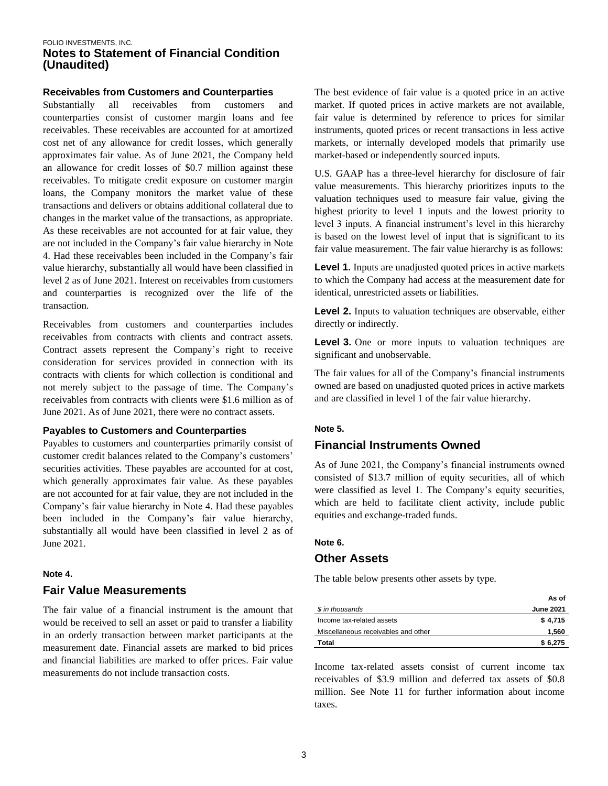#### **Receivables from Customers and Counterparties**

Substantially all receivables from customers and counterparties consist of customer margin loans and fee receivables. These receivables are accounted for at amortized cost net of any allowance for credit losses, which generally approximates fair value. As of June 2021, the Company held an allowance for credit losses of \$0.7 million against these receivables. To mitigate credit exposure on customer margin loans, the Company monitors the market value of these transactions and delivers or obtains additional collateral due to changes in the market value of the transactions, as appropriate. As these receivables are not accounted for at fair value, they are not included in the Company's fair value hierarchy in Note 4. Had these receivables been included in the Company's fair value hierarchy, substantially all would have been classified in level 2 as of June 2021. Interest on receivables from customers and counterparties is recognized over the life of the transaction.

Receivables from customers and counterparties includes receivables from contracts with clients and contract assets. Contract assets represent the Company's right to receive consideration for services provided in connection with its contracts with clients for which collection is conditional and not merely subject to the passage of time. The Company's receivables from contracts with clients were \$1.6 million as of June 2021. As of June 2021, there were no contract assets.

### **Payables to Customers and Counterparties**

Payables to customers and counterparties primarily consist of customer credit balances related to the Company's customers' securities activities. These payables are accounted for at cost, which generally approximates fair value. As these payables are not accounted for at fair value, they are not included in the Company's fair value hierarchy in Note 4. Had these payables been included in the Company's fair value hierarchy, substantially all would have been classified in level 2 as of June 2021.

#### **Note 4.**

### **Fair Value Measurements**

The fair value of a financial instrument is the amount that would be received to sell an asset or paid to transfer a liability in an orderly transaction between market participants at the measurement date. Financial assets are marked to bid prices and financial liabilities are marked to offer prices. Fair value measurements do not include transaction costs.

The best evidence of fair value is a quoted price in an active market. If quoted prices in active markets are not available, fair value is determined by reference to prices for similar instruments, quoted prices or recent transactions in less active markets, or internally developed models that primarily use market-based or independently sourced inputs.

U.S. GAAP has a three-level hierarchy for disclosure of fair value measurements. This hierarchy prioritizes inputs to the valuation techniques used to measure fair value, giving the highest priority to level 1 inputs and the lowest priority to level 3 inputs. A financial instrument's level in this hierarchy is based on the lowest level of input that is significant to its fair value measurement. The fair value hierarchy is as follows:

**Level 1.** Inputs are unadjusted quoted prices in active markets to which the Company had access at the measurement date for identical, unrestricted assets or liabilities.

**Level 2.** Inputs to valuation techniques are observable, either directly or indirectly.

**Level 3.** One or more inputs to valuation techniques are significant and unobservable.

The fair values for all of the Company's financial instruments owned are based on unadjusted quoted prices in active markets and are classified in level 1 of the fair value hierarchy.

#### **Note 5.**

### **Financial Instruments Owned**

As of June 2021, the Company's financial instruments owned consisted of \$13.7 million of equity securities, all of which were classified as level 1. The Company's equity securities, which are held to facilitate client activity, include public equities and exchange-traded funds.

#### **Note 6.**

### **Other Assets**

The table below presents other assets by type.

|                                     | As of            |
|-------------------------------------|------------------|
| \$ in thousands                     | <b>June 2021</b> |
| Income tax-related assets           | \$4.715          |
| Miscellaneous receivables and other | 1.560            |
| Total                               | \$6.275          |

Income tax-related assets consist of current income tax receivables of \$3.9 million and deferred tax assets of \$0.8 million. See Note 11 for further information about income taxes.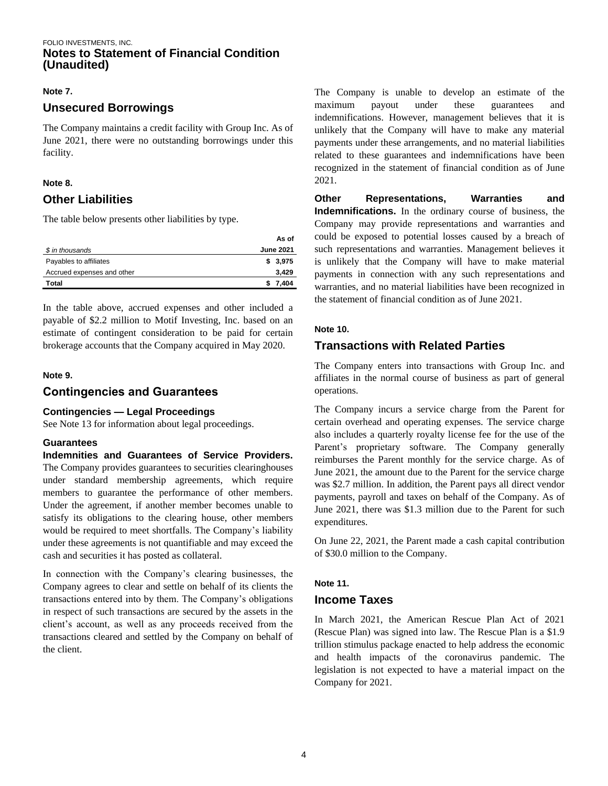### **Note 7.**

# **Unsecured Borrowings**

The Company maintains a credit facility with Group Inc. As of June 2021, there were no outstanding borrowings under this facility.

### **Note 8.**

# **Other Liabilities**

The table below presents other liabilities by type.

|                            | As of            |
|----------------------------|------------------|
| \$ in thousands            | <b>June 2021</b> |
| Payables to affiliates     | \$3,975          |
| Accrued expenses and other | 3.429            |
| Total                      | 7.404            |

In the table above, accrued expenses and other included a payable of \$2.2 million to Motif Investing, Inc. based on an estimate of contingent consideration to be paid for certain brokerage accounts that the Company acquired in May 2020.

### **Note 9.**

# **Contingencies and Guarantees**

### **Contingencies — Legal Proceedings**

See Note 13 for information about legal proceedings.

### **Guarantees**

**Indemnities and Guarantees of Service Providers.** The Company provides guarantees to securities clearinghouses under standard membership agreements, which require members to guarantee the performance of other members. Under the agreement, if another member becomes unable to satisfy its obligations to the clearing house, other members would be required to meet shortfalls. The Company's liability under these agreements is not quantifiable and may exceed the cash and securities it has posted as collateral.

In connection with the Company's clearing businesses, the Company agrees to clear and settle on behalf of its clients the transactions entered into by them. The Company's obligations in respect of such transactions are secured by the assets in the client's account, as well as any proceeds received from the transactions cleared and settled by the Company on behalf of the client.

The Company is unable to develop an estimate of the maximum payout under these guarantees and indemnifications. However, management believes that it is unlikely that the Company will have to make any material payments under these arrangements, and no material liabilities related to these guarantees and indemnifications have been recognized in the statement of financial condition as of June 2021.

**Other Representations, Warranties and Indemnifications.** In the ordinary course of business, the Company may provide representations and warranties and could be exposed to potential losses caused by a breach of such representations and warranties. Management believes it is unlikely that the Company will have to make material payments in connection with any such representations and warranties, and no material liabilities have been recognized in the statement of financial condition as of June 2021.

### **Note 10.**

# **Transactions with Related Parties**

The Company enters into transactions with Group Inc. and affiliates in the normal course of business as part of general operations.

The Company incurs a service charge from the Parent for certain overhead and operating expenses. The service charge also includes a quarterly royalty license fee for the use of the Parent's proprietary software. The Company generally reimburses the Parent monthly for the service charge. As of June 2021, the amount due to the Parent for the service charge was \$2.7 million. In addition, the Parent pays all direct vendor payments, payroll and taxes on behalf of the Company. As of June 2021, there was \$1.3 million due to the Parent for such expenditures.

On June 22, 2021, the Parent made a cash capital contribution of \$30.0 million to the Company.

### **Note 11.**

# **Income Taxes**

In March 2021, the American Rescue Plan Act of 2021 (Rescue Plan) was signed into law. The Rescue Plan is a \$1.9 trillion stimulus package enacted to help address the economic and health impacts of the coronavirus pandemic. The legislation is not expected to have a material impact on the Company for 2021.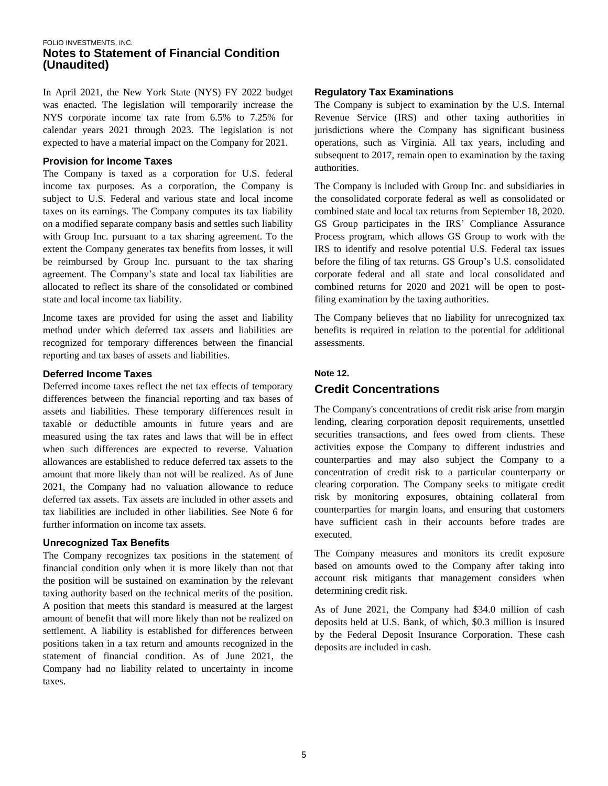In April 2021, the New York State (NYS) FY 2022 budget was enacted. The legislation will temporarily increase the NYS corporate income tax rate from 6.5% to 7.25% for calendar years 2021 through 2023. The legislation is not expected to have a material impact on the Company for 2021.

#### **Provision for Income Taxes**

The Company is taxed as a corporation for U.S. federal income tax purposes. As a corporation, the Company is subject to U.S. Federal and various state and local income taxes on its earnings. The Company computes its tax liability on a modified separate company basis and settles such liability with Group Inc. pursuant to a tax sharing agreement. To the extent the Company generates tax benefits from losses, it will be reimbursed by Group Inc. pursuant to the tax sharing agreement. The Company's state and local tax liabilities are allocated to reflect its share of the consolidated or combined state and local income tax liability.

Income taxes are provided for using the asset and liability method under which deferred tax assets and liabilities are recognized for temporary differences between the financial reporting and tax bases of assets and liabilities.

#### **Deferred Income Taxes**

Deferred income taxes reflect the net tax effects of temporary differences between the financial reporting and tax bases of assets and liabilities. These temporary differences result in taxable or deductible amounts in future years and are measured using the tax rates and laws that will be in effect when such differences are expected to reverse. Valuation allowances are established to reduce deferred tax assets to the amount that more likely than not will be realized. As of June 2021, the Company had no valuation allowance to reduce deferred tax assets. Tax assets are included in other assets and tax liabilities are included in other liabilities. See Note 6 for further information on income tax assets.

#### **Unrecognized Tax Benefits**

The Company recognizes tax positions in the statement of financial condition only when it is more likely than not that the position will be sustained on examination by the relevant taxing authority based on the technical merits of the position. A position that meets this standard is measured at the largest amount of benefit that will more likely than not be realized on settlement. A liability is established for differences between positions taken in a tax return and amounts recognized in the statement of financial condition. As of June 2021, the Company had no liability related to uncertainty in income taxes.

#### **Regulatory Tax Examinations**

The Company is subject to examination by the U.S. Internal Revenue Service (IRS) and other taxing authorities in jurisdictions where the Company has significant business operations, such as Virginia. All tax years, including and subsequent to 2017, remain open to examination by the taxing authorities.

The Company is included with Group Inc. and subsidiaries in the consolidated corporate federal as well as consolidated or combined state and local tax returns from September 18, 2020. GS Group participates in the IRS' Compliance Assurance Process program, which allows GS Group to work with the IRS to identify and resolve potential U.S. Federal tax issues before the filing of tax returns. GS Group's U.S. consolidated corporate federal and all state and local consolidated and combined returns for 2020 and 2021 will be open to postfiling examination by the taxing authorities.

The Company believes that no liability for unrecognized tax benefits is required in relation to the potential for additional assessments.

#### **Note 12.**

### **Credit Concentrations**

The Company's concentrations of credit risk arise from margin lending, clearing corporation deposit requirements, unsettled securities transactions, and fees owed from clients. These activities expose the Company to different industries and counterparties and may also subject the Company to a concentration of credit risk to a particular counterparty or clearing corporation. The Company seeks to mitigate credit risk by monitoring exposures, obtaining collateral from counterparties for margin loans, and ensuring that customers have sufficient cash in their accounts before trades are executed.

The Company measures and monitors its credit exposure based on amounts owed to the Company after taking into account risk mitigants that management considers when determining credit risk.

As of June 2021, the Company had \$34.0 million of cash deposits held at U.S. Bank, of which, \$0.3 million is insured by the Federal Deposit Insurance Corporation. These cash deposits are included in cash.